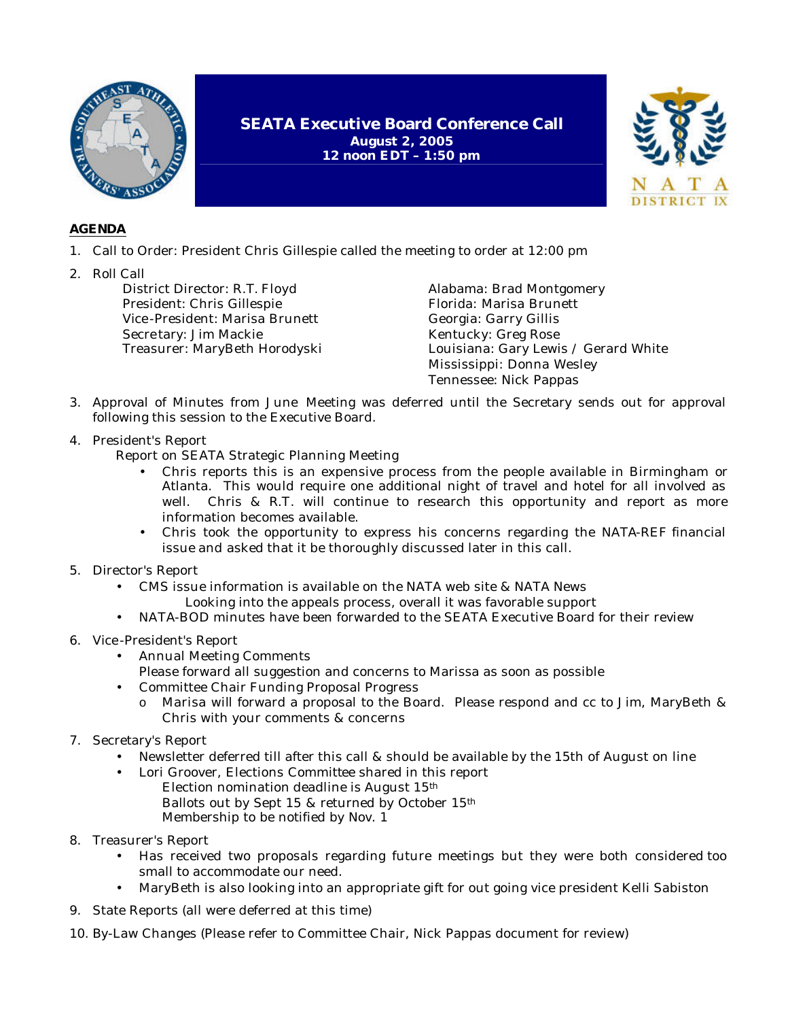

## **AGENDA**

- 1. Call to Order: President Chris Gillespie called the meeting to order at 12:00 pm
- 2. Roll Call

District Director: R.T. Floyd President: Chris Gillespie Vice -President: Marisa Brunett Secre tary: Jim Mackie Treasurer: MaryBeth Horodyski Alabama: Brad Montgomery Florida: Marisa Brunett Georgia: Garry Gillis Kentucky: Greg Rose Louisiana: Gary Lewis / Gerard White Mississippi: Donna Wesley Tennessee: Nick Pappas

3. Approval of Minutes from June Meeting was deferred until the Secretary sends out for approval following this session to the Executive Board.

**SEATA Executive Board Conference Call August 2, 2005 12 noon EDT – 1:50 pm**

4. President's Report

Report on SEATA Strategic Planning Meeting

- Chris reports this is an expensive process from the people available in Birmingham or Atlanta. This would require one additional night of travel and hotel for all involved as well. Chris & R.T. will continue to research this opportunity and report as more information becomes available.
- Chris took the opportunity to express his concerns regarding the NATA-REF financial issue and asked that it be thoroughly discussed later in this call.
- 5. Director's Report
	- CMS issue information is available on the NATA web site & NATA News Looking into the appeals process, overall it was favorable support
	- NATA-BOD minutes have been forwarded to the SEATA Executive Board for their review
- 6. Vice -President's Report
	- Annual Meeting Comments
		- Please forward all suggestion and concerns to Marissa as soon as possible
	- Committee Chair Funding Proposal Progress
		- o Marisa will forward a proposal to the Board. Please respond and cc to Jim, MaryBeth & Chris with your comments & concerns
- 7. Secretary's Report
	- Newsletter deferred till after this call & should be available by the 15th of August on line
	- Lori Groover, Elections Committee shared in this report Election nomination deadline is August 15th Ballots out by Sept 15 & returned by October 15th Membership to be notified by Nov. 1
- 8. Treasurer's Report
	- Has received two proposals regarding future meetings but they were both considered too small to accommodate our need.
	- MaryBeth is also looking into an appropriate gift for out going vice president Kelli Sabiston
- 9. State Reports (all were deferred at this time)
- 10. By-Law Changes (Please refer to Committee Chair, Nick Pappas document for review)